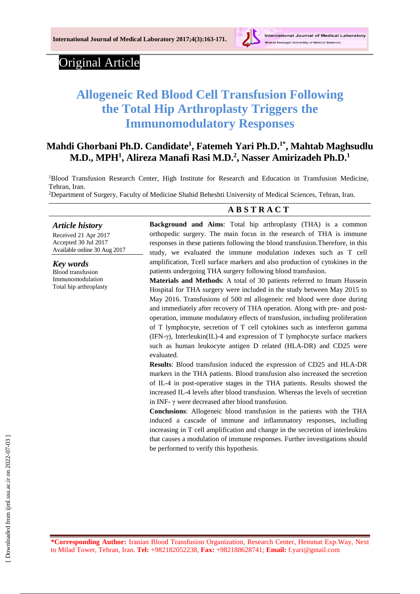

# Original Article

# **Allogeneic Red Blood Cell Transfusion Following the Total Hip Arthroplasty Triggers the Immunomodulatory Responses**

# **Mahdi Ghorbani Ph.D. Candidate<sup>1</sup> , Fatemeh Yari Ph.D.1\*, Mahtab Maghsudlu M.D., MPH<sup>1</sup> , Alireza Manafi Rasi M.D.<sup>2</sup> , Nasser Amirizadeh Ph.D.<sup>1</sup>**

<sup>1</sup>Blood Transfusion Research Center, High Institute for Research and Education in Transfusion Medicine, Tehran, Iran.

<sup>2</sup>Department of Surgery, Faculty of Medicine Shahid Beheshti University of Medical Sciences, Tehran, Iran.

# *Article history*

Received 21 Apr 2017 Accepted 30 Jul 2017 Available online 30 Aug 2017

*Key words* Blood transfusion Immunomodulation Total hip arthroplasty

# **A B S T R A C T**

**Background and Aims**: Total hip arthroplasty (THA) is a common orthopedic surgery. The main focus in the research of THA is immune responses in these patients following the blood transfusion.Therefore, in this study, we evaluated the immune modulation indexes such as T cell amplification, Tcell surface markers and also production of cytokines in the patients undergoing THA surgery following blood transfusion.

**Materials and Methods**: A total of 30 patients referred to Imam Hussein Hospital for THA surgery were included in the study between May 2015 to May 2016. Transfusions of 500 ml allogeneic red blood were done during and immediately after recovery of THA operation. Along with pre- and postoperation, immune modulatory effects of transfusion, including proliferation of T lymphocyte, secretion of T cell cytokines such as interferon gamma (IFN-γ), Interleukin(IL)-4 and expression of T lymphocyte surface markers such as human leukocyte antigen D related (HLA-DR) and CD25 were evaluated.

**Results**: Blood transfusion induced the expression of CD25 and HLA-DR markers in the THA patients. Blood transfusion also increased the secretion of IL-4 in post-operative stages in the THA patients. Results showed the increased IL-4 levels after blood transfusion. Whereas the levels of secretion in INF- $\gamma$  were decreased after blood transfusion.

**Conclusions**: Allogeneic blood transfusion in the patients with the THA induced a cascade of immune and inflammatory responses, including increasing in T cell amplification and change in the secretion of interleukins that causes a modulation of immune responses. Further investigations should be performed to verify this hypothesis.

**\*Corresponding Author:** Iranian Blood Transfusion Organization, Research Center, Hemmat Exp.Way, Next to Milad Tower, Tehran, Iran. **Tel:** +982182052238, **Fax:** +982188628741; **Email:** [f.yari@gmail.com](mailto:f.yari@gmail.com)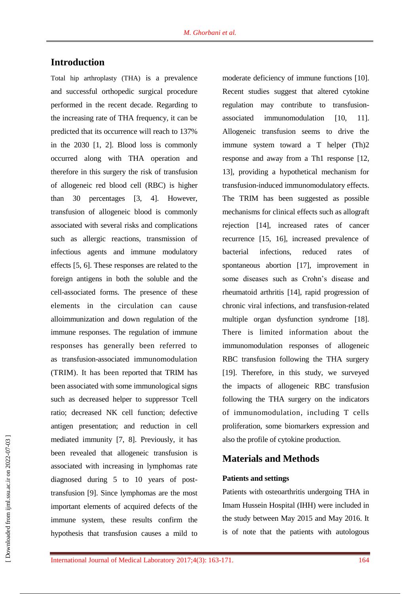# **Introduction**

Total hip arthroplasty (THA) is a prevalence and successful orthopedic surgical procedure performed in the recent decade. Regarding to the increasing rate of THA frequency, it can be predicted that its occurrence will reach to 137% in the 2030 [1, 2]. Blood loss is commonly occurred along with THA operation and therefore in this surgery the risk of transfusion of allogeneic red blood cell (RBC) is higher than 30 percentages [3, 4]. However, transfusion of allogeneic blood is commonly associated with several risks and complications such as allergic reactions, transmission of infectious agents and immune modulatory effects [5, 6]. These responses are related to the foreign antigens in both the soluble and the cell-associated forms. The presence of these elements in the circulation can cause alloimmunization and down regulation of the immune responses. The regulation of immune responses has generally been referred to as transfusion-associated immunomodulation (TRIM). It has been reported that TRIM has been associated with some immunological signs such as decreased helper to suppressor Tcell ratio; decreased NK cell function; defective antigen presentation; and reduction in cell mediated immunity [7, 8]. Previously, it has been revealed that allogeneic transfusion is associated with increasing in lymphomas rate diagnosed during 5 to 10 years of posttransfusion [9]. Since lymphomas are the most important elements of acquired defects of the immune system, these results confirm the hypothesis that transfusion causes a mild to

moderate deficiency of immune functions [10]. Recent studies suggest that altered cytokine regulation may contribute to transfusionassociated immunomodulation [10, 11]. Allogeneic transfusion seems to drive the immune system toward a T helper (Th)2 response and away from a Th1 response [12, 13], providing a hypothetical mechanism for transfusion-induced immunomodulatory effects. The TRIM has been suggested as possible mechanisms for clinical effects such as allograft rejection [14], increased rates of cancer recurrence [15, 16], increased prevalence of bacterial infections, reduced rates of spontaneous abortion [17], improvement in some diseases such as Crohn's disease and rheumatoid arthritis [14], rapid progression of chronic viral infections, and transfusion-related multiple organ dysfunction syndrome [18]. There is limited information about the immunomodulation responses of allogeneic RBC transfusion following the THA surgery [19]. Therefore, in this study, we surveyed the impacts of allogeneic RBC transfusion following the THA surgery on the indicators of immunomodulation, including T cells proliferation, some biomarkers expression and also the profile of cytokine production.

## **Materials and Methods**

#### **Patients and settings**

Patients with osteoarthritis undergoing THA in Imam Hussein Hospital (IHH) were included in the study between May 2015 and May 2016. It is of note that the patients with autologous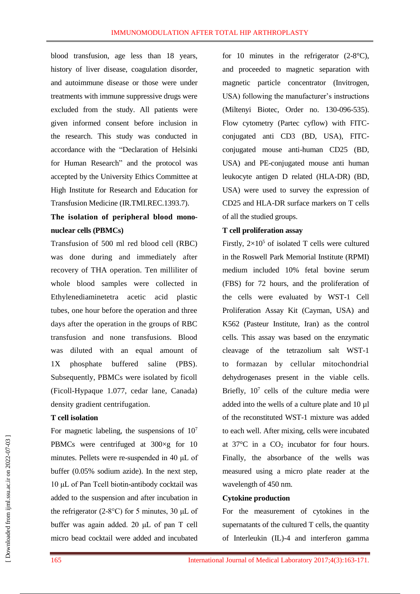blood transfusion, age less than 18 years, history of liver disease, coagulation disorder, and autoimmune disease or those were under treatments with immune suppressive drugs were excluded from the study. All patients were given informed consent before inclusion in the research. This study was conducted in accordance with the "Declaration of Helsinki for Human Research" and the protocol was accepted by the University Ethics Committee at High Institute for Research and Education for Transfusion Medicine (IR.TMI.REC.1393.7).

# **The isolation of peripheral blood mononuclear cells (PBMCs)**

Transfusion of 500 ml red blood cell (RBC) was done during and immediately after recovery of THA operation. Ten milliliter of whole blood samples were collected in Ethylenediaminetetra acetic acid plastic tubes, one hour before the operation and three days after the operation in the groups of RBC transfusion and none transfusions. Blood was diluted with an equal amount of 1X phosphate buffered saline (PBS). Subsequently, PBMCs were isolated by ficoll (Ficoll-Hypaque 1.077, cedar lane, Canada) density gradient centrifugation.

#### **T cell isolation**

For magnetic labeling, the suspensions of  $10<sup>7</sup>$ PBMCs were centrifuged at 300×g for 10 minutes. Pellets were re-suspended in 40 μL of buffer (0.05% sodium azide). In the next step, 10 μL of Pan Tcell biotin-antibody cocktail was added to the suspension and after incubation in the refrigerator (2-8°C) for 5 minutes, 30 μL of buffer was again added. 20 μL of pan T cell micro bead cocktail were added and incubated

for 10 minutes in the refrigerator  $(2-8^{\circ}C)$ , and proceeded to magnetic separation with magnetic particle concentrator (Invitrogen, USA) following the manufacturer's instructions (Miltenyi Biotec, Order no. 130-096-535). Flow cytometry (Partec cyflow) with FITCconjugated anti CD3 (BD, USA), FITCconjugated mouse anti-human CD25 (BD, USA) and PE-conjugated mouse anti human leukocyte antigen D related (HLA-DR) (BD, USA) were used to survey the expression of CD25 and HLA-DR surface markers on T cells of all the studied groups.

#### **T cell proliferation assay**

Firstly,  $2\times10^5$  of isolated T cells were cultured in the Roswell Park Memorial Institute (RPMI) medium included 10% fetal bovine serum (FBS) for 72 hours, and the proliferation of the cells were evaluated by WST-1 Cell Proliferation Assay Kit (Cayman, USA) and K562 (Pasteur Institute, Iran) as the control cells. This assay was based on the enzymatic cleavage of the tetrazolium salt WST-1 to formazan by cellular mitochondrial dehydrogenases present in the viable cells. Briefly,  $10<sup>7</sup>$  cells of the culture media were added into the wells of a culture plate and 10 µl of the reconstituted WST-1 mixture was added to each well. After mixing, cells were incubated at  $37^{\circ}$ C in a  $CO<sub>2</sub>$  incubator for four hours. Finally, the absorbance of the wells was measured using a micro plate reader at the wavelength of 450 nm.

#### **Cytokine production**

For the measurement of cytokines in the supernatants of the cultured T cells, the quantity of Interleukin (IL)-4 and interferon gamma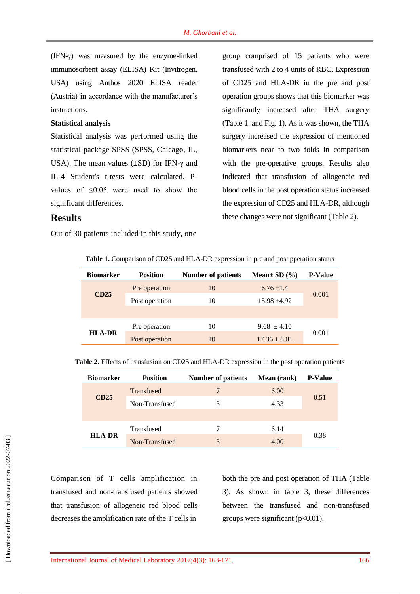(IFN-γ) was measured by the enzyme-linked immunosorbent assay (ELISA) Kit (Invitrogen, USA) using Anthos 2020 ELISA reader (Austria) in accordance with the manufacturer's instructions.

#### **Statistical analysis**

Statistical analysis was performed using the statistical package SPSS (SPSS, Chicago, IL, USA). The mean values  $(\pm SD)$  for IFN- $\gamma$  and IL-4 Student's t-tests were calculated. Pvalues of ≤0.05 were used to show the significant differences.

group comprised of 15 patients who were transfused with 2 to 4 units of RBC. Expression of CD25 and HLA-DR in the pre and post operation groups shows that this biomarker was significantly increased after THA surgery (Table 1. and Fig. 1). As it was shown, the THA surgery increased the expression of mentioned biomarkers near to two folds in comparison with the pre-operative groups. Results also indicated that transfusion of allogeneic red blood cells in the post operation status increased the expression of CD25 and HLA-DR, although these changes were not significant (Table 2).

### **Results**

Out of 30 patients included in this study, one

#### **Table 1.** Comparison of CD25 and HLA-DR expression in pre and post pperation status

| <b>Biomarker</b> | <b>Position</b> | <b>Number of patients</b> | Mean $\pm$ SD $(\% )$ | <b>P-Value</b> |  |
|------------------|-----------------|---------------------------|-----------------------|----------------|--|
| CD25             | Pre operation   | 10                        | $6.76 \pm 1.4$        |                |  |
|                  | Post operation  | 10                        | $15.98 + 4.92$        | 0.001          |  |
|                  |                 |                           |                       |                |  |
| <b>HLA-DR</b>    | Pre operation   | 10                        | $9.68 \pm 4.10$       |                |  |
|                  | Post operation  | 10                        | $17.36 \pm 6.01$      | 0.001          |  |

**Table 2.** Effects of transfusion on CD25 and HLA-DR expression in the post operation patients

| <b>Biomarker</b> | <b>Position</b> | <b>Number of patients</b> | Mean (rank) | <b>P-Value</b> |  |
|------------------|-----------------|---------------------------|-------------|----------------|--|
| CD25             | Transfused      | 7                         | 6.00        |                |  |
|                  | Non-Transfused  | 3                         | 4.33        | 0.51           |  |
|                  |                 |                           |             |                |  |
| <b>HLA-DR</b>    | Transfused      | 7                         | 6.14        |                |  |
|                  | Non-Transfused  | 3                         | 4.00        | 0.38           |  |

Comparison of T cells amplification in transfused and non-transfused patients showed that transfusion of allogeneic red blood cells decreases the amplification rate of the T cells in

both the pre and post operation of THA (Table 3). As shown in table 3, these differences between the transfused and non-transfused groups were significant  $(p<0.01)$ .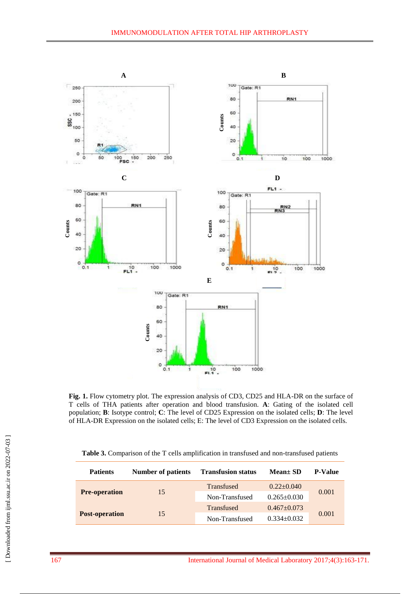

**Fig. 1.** Flow cytometry plot. The expression analysis of CD3, CD25 and HLA-DR on the surface of T cells of THA patients after operation and blood transfusion. **A**: Gating of the isolated cell population; **B**: Isotype control; **C**: The level of CD25 Expression on the isolated cells; **D**: The level of HLA-DR Expression on the isolated cells; E: The level of CD3 Expression on the isolated cells.

|  |  |  |  |  |  |  | <b>Table 3.</b> Comparison of the T cells amplification in transfused and non-transfused patients |  |
|--|--|--|--|--|--|--|---------------------------------------------------------------------------------------------------|--|
|--|--|--|--|--|--|--|---------------------------------------------------------------------------------------------------|--|

| <b>Patients</b>       | <b>Number of patients</b> | <b>Transfusion status</b> | $Mean \pm SD$     | <b>P-Value</b> |  |
|-----------------------|---------------------------|---------------------------|-------------------|----------------|--|
|                       |                           | <b>Transfused</b>         | $0.22+0.040$      | 0.001          |  |
| <b>Pre-operation</b>  | 15                        | Non-Transfused            | $0.265 \pm 0.030$ |                |  |
| <b>Post-operation</b> |                           | Transfused                | $0.467 + 0.073$   |                |  |
|                       | 15                        | Non-Transfused            | $0.334 \pm 0.032$ | 0.001          |  |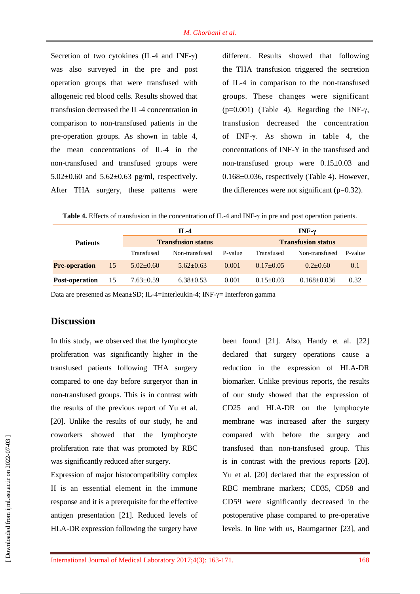Secretion of two cytokines (IL-4 and INF-γ) was also surveyed in the pre and post operation groups that were transfused with allogeneic red blood cells. Results showed that transfusion decreased the IL-4 concentration in comparison to non-transfused patients in the pre-operation groups. As shown in table 4, the mean concentrations of IL-4 in the non-transfused and transfused groups were 5.02 $\pm$ 0.60 and 5.62 $\pm$ 0.63 pg/ml, respectively. After THA surgery, these patterns were

different. Results showed that following the THA transfusion triggered the secretion of IL-4 in comparison to the non-transfused groups. These changes were significant (p=0.001) (Table 4). Regarding the INF- $\gamma$ , transfusion decreased the concentration of INF-γ. As shown in table 4, the concentrations of INF-Y in the transfused and non-transfused group were 0.15±0.03 and 0.168±0.036, respectively (Table 4). However, the differences were not significant  $(p=0.32)$ .

**Table 4.** Effects of transfusion in the concentration of IL-4 and INF-γ in pre and post operation patients.

| <b>Patients</b>      |    |                 | $IL-4$                    |         | INF- $\gamma$             |                   |         |  |
|----------------------|----|-----------------|---------------------------|---------|---------------------------|-------------------|---------|--|
|                      |    |                 | <b>Transfusion status</b> |         | <b>Transfusion status</b> |                   |         |  |
|                      |    | Transfused      | Non-transfused            | P-value | Transfused                | Non-transfused    | P-value |  |
| <b>Pre-operation</b> | 15 | $5.02 \pm 0.60$ | $5.62 + 0.63$             | 0.001   | $0.17+0.05$               | $0.2+0.60$        | 0.1     |  |
| Post-operation       | 15 | $7.63 \pm 0.59$ | $6.38 \pm 0.53$           | 0.001   | $0.15 \pm 0.03$           | $0.168 \pm 0.036$ | 0.32    |  |

Data are presented as Mean±SD; IL-4=Interleukin-4; INF-γ= Interferon gamma

## **Discussion**

In this study, we observed that the lymphocyte proliferation was significantly higher in the transfused patients following THA surgery compared to one day before surgeryor than in non-transfused groups. This is in contrast with the results of the previous report of Yu et al. [20]. Unlike the results of our study, he and coworkers showed that the lymphocyte proliferation rate that was promoted by RBC was significantly reduced after surgery.

Expression of major histocompatibility complex II is an essential element in the immune response and it is a prerequisite for the effective antigen presentation [21]. Reduced levels of HLA-DR expression following the surgery have

been found [21]. Also, Handy et al. [22] declared that surgery operations cause a reduction in the expression of HLA-DR biomarker. Unlike previous reports, the results of our study showed that the expression of CD25 and HLA-DR on the lymphocyte membrane was increased after the surgery compared with before the surgery and transfused than non-transfused group. This is in contrast with the previous reports [20]. Yu et al. [20] declared that the expression of RBC membrane markers; CD35, CD58 and CD59 were significantly decreased in the postoperative phase compared to pre-operative levels. In line with us, Baumgartner [23], and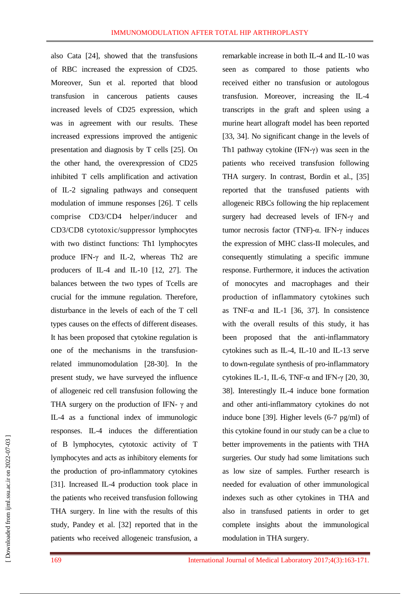also Cata [24], showed that the transfusions of RBC increased the expression of CD25. Moreover, Sun et al. reported that blood transfusion in cancerous patients causes increased levels of CD25 expression, which was in agreement with our results. These increased expressions improved the antigenic presentation and diagnosis by T cells [25]. On the other hand, the overexpression of CD25 inhibited T cells amplification and activation of IL-2 signaling pathways and consequent modulation of immune responses [26]. T cells comprise CD3/CD4 helper/inducer and CD3/CD8 cytotoxic/suppressor lymphocytes with two distinct functions: Th1 lymphocytes produce IFN-γ and IL-2, whereas Th2 are producers of IL-4 and IL-10 [12, 27]. The balances between the two types of Tcells are crucial for the immune regulation. Therefore, disturbance in the levels of each of the T cell types causes on the effects of different diseases. It has been proposed that cytokine regulation is one of the mechanisms in the transfusionrelated immunomodulation [28-30]. In the present study, we have surveyed the influence of allogeneic red cell transfusion following the THA surgery on the production of IFN-  $\gamma$  and IL-4 as a functional index of immunologic responses. IL-4 induces the differentiation of B lymphocytes, cytotoxic activity of T lymphocytes and acts as inhibitory elements for the production of pro-inflammatory cytokines [31]. Increased IL-4 production took place in the patients who received transfusion following THA surgery. In line with the results of this study, Pandey et al. [32] reported that in the patients who received allogeneic transfusion, a remarkable increase in both IL-4 and IL-10 was seen as compared to those patients who received either no transfusion or autologous transfusion. Moreover, increasing the IL-4 transcripts in the graft and spleen using a murine heart allograft model has been reported [33, 34]. No significant change in the levels of Th1 pathway cytokine (IFN-γ) was seen in the patients who received transfusion following THA surgery. In contrast, Bordin et al., [35] reported that the transfused patients with allogeneic RBCs following the hip replacement surgery had decreased levels of IFN-γ and tumor necrosis factor (TNF)-α. IFN-γ induces the expression of MHC class-II molecules, and consequently stimulating a specific immune response. Furthermore, it induces the activation of monocytes and macrophages and their production of inflammatory cytokines such as TNF- $\alpha$  and IL-1 [36, 37]. In consistence with the overall results of this study, it has been proposed that the anti-inflammatory cytokines such as IL-4, IL-10 and IL-13 serve to down-regulate synthesis of pro-inflammatory cytokines IL-1, IL-6, TNF-α and IFN- $\gamma$  [20, 30, 38]. Interestingly IL-4 induce bone formation and other anti-inflammatory cytokines do not induce bone [39]. Higher levels (6-7 pg/ml) of this cytokine found in our study can be a clue to better improvements in the patients with THA surgeries. Our study had some limitations such as low size of samples. Further research is needed for evaluation of other immunological indexes such as other cytokines in THA and also in transfused patients in order to get complete insights about the immunological modulation in THA surgery.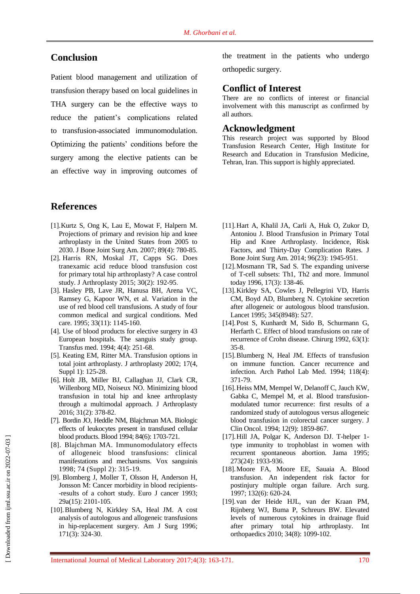# **Conclusion**

Patient blood management and utilization of transfusion therapy based on local guidelines in THA surgery can be the effective ways to reduce the patient's complications related to transfusion-associated immunomodulation. Optimizing the patients' conditions before the surgery among the elective patients can be an effective way in improving outcomes of

### **References**

- [1].Kurtz S, Ong K, Lau E, Mowat F, Halpern M. Projections of primary and revision hip and knee arthroplasty in the United States from 2005 to 2030. [J Bone Joint Surg Am.](https://www.ncbi.nlm.nih.gov/pubmed/?term=Kurtz+S%2C+Ong+K%2C+Lau+E%2C+Mowat+F%2C+Halpern+M%3A+Projections+of+primary+and+revision+hip+and+knee+arthroplasty+in+the+United+States+from+2005+to+2030.) 2007; 89(4): 780-85.
- [2]. Harris RN, Moskal JT, Capps SG. Does tranexamic acid reduce blood transfusion cost for primary total hip arthroplasty? A case control study. J Arthroplasty 2015; 30(2): 192-95.
- [3]. Hasley PB, Lave JR, Hanusa BH, Arena VC, Ramsey G, Kapoor WN, et al. Variation in the use of red blood cell transfusions. A study of four common medical and surgical conditions. Med care. 1995; 33(11): 1145-160.
- [4]. Use of blood products for elective surgery in 43 European hospitals. The sanguis study group. Transfus med. 1994; 4(4): 251-68.
- [5]. Keating EM, Ritter MA. Transfusion options in total joint arthroplasty. J arthroplasty 2002; 17(4, Suppl 1): 125-28.
- [6]. Holt JB, Miller BJ, Callaghan JJ, Clark CR, Willenborg MD, Noiseux NO. Minimizing blood transfusion in total hip and knee arthroplasty through a multimodal approach. J Arthroplasty 2016; 31(2): 378-82.
- [7]. Bordin JO, Heddle NM, Blajchman MA. Biologic effects of leukocytes present in transfused cellular blood products. Blood 1994; 84(6): 1703-721.
- [8]. Blajchman MA. Immunomodulatory effects of allogeneic blood transfusions: clinical manifestations and mechanisms. Vox sanguinis 1998; 74 (Suppl 2): 315-19.
- [9]. Blomberg J, Moller T, Olsson H, Anderson H, Jonsson M: Cancer morbidity in blood recipients- -results of a cohort study. Euro J cancer 1993; 29a(15): 2101-105.
- [10].Blumberg N, Kirkley SA, Heal JM. A cost analysis of autologous and allogeneic transfusions in hip-replacement surgery. Am J Surg 1996; 171(3): 324-30.

the treatment in the patients who undergo orthopedic surgery.

### **Conflict of Interest**

There are no conflicts of interest or financial involvement with this manuscript as confirmed by all authors.

### **Acknowledgment**

This research project was supported by Blood Transfusion Research Center, High Institute for Research and Education in Transfusion Medicine, Tehran, Iran. This support is highly appreciated.

- [11].Hart A, Khalil JA, Carli A, Huk O, Zukor D, Antoniou J. Blood Transfusion in Primary Total Hip and Knee Arthroplasty. Incidence, Risk Factors, and Thirty-Day Complication Rates. [J](https://www.ncbi.nlm.nih.gov/pubmed/?term=J.+Blood+Transfusion+in+Primary+Total+Hip+and+Knee+Arthroplasty.+Incidence%2C+Risk+Factors%2C+and+Thirty-Day+Complication+Rate)  [Bone Joint Surg Am.](https://www.ncbi.nlm.nih.gov/pubmed/?term=J.+Blood+Transfusion+in+Primary+Total+Hip+and+Knee+Arthroplasty.+Incidence%2C+Risk+Factors%2C+and+Thirty-Day+Complication+Rate) 2014; 96(23): 1945-951.
- [12].Mosmann TR, Sad S. The expanding universe of T-cell subsets: Th1, Th2 and more. Immunol today 1996, 17(3): 138-46.
- [13].Kirkley SA, Cowles J, Pellegrini VD, Harris CM, Boyd AD, Blumberg N. Cytokine secretion after allogeneic or autologous blood transfusion. Lancet 1995; 345(8948): 527.
- [14].Post S, Kunhardt M, Sido B, Schurmann G, Herfarth C. Effect of blood transfusions on rate of recurrence of Crohn disease. Chirurg 1992, 63(1): 35-8.
- [15].Blumberg N, Heal JM. Effects of transfusion on immune function. Cancer recurrence and infection. [Arch Pathol Lab Med.](https://www.ncbi.nlm.nih.gov/pubmed/?term=%5B15%5D.%09Blumberg+N%2C+Heal+JM.+Effects+of+transfusion+on+immune+function.+Cancer+recurrence+and+infection.) 1994; 118(4): 371-79.
- [16]. Heiss MM, Mempel W, Delanoff C, Jauch KW, Gabka C, Mempel M, et al. Blood transfusionmodulated tumor recurrence: first results of a randomized study of autologous versus allogeneic blood transfusion in colorectal cancer surgery. J Clin Oncol. 1994; 12(9): 1859-867.
- [17].Hill JA, Polgar K, Anderson DJ. T-helper 1 type immunity to trophoblast in women with recurrent spontaneous abortion. Jama 1995; 273(24): 1933-936.
- [18].Moore FA, Moore EE, Sauaia A. Blood transfusion. An independent risk factor for postinjury multiple organ failure. Arch surg. 1997; 132(6): 620-24.
- [19].van der Heide HJL, van der Kraan PM, Rijnberg WJ, Buma P, Schreurs BW. Elevated levels of numerous cytokines in drainage fluid after primary total hip arthroplasty. Int orthopaedics 2010; 34(8): 1099-102.